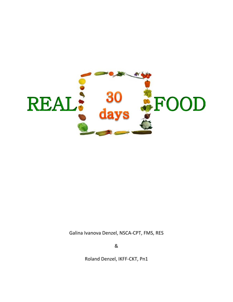

Galina Ivanova Denzel, NSCA‐CPT, FMS, RES

&

Roland Denzel, IKFF‐CKT, Pn1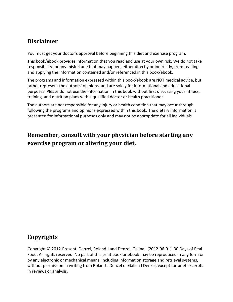### **Disclaimer**

You must get your doctor's approval before beginning this diet and exercise program.

This book/ebook provides information that you read and use at your own risk. We do not take responsibility for any misfortune that may happen, either directly or indirectly, from reading and applying the information contained and/or referenced in this book/ebook.

The programs and information expressed within this book/ebook are NOT medical advice, but rather represent the authors' opinions, and are solely for informational and educational purposes. Please do not use the information in this book without first discussing your fitness, training, and nutrition plans with a qualified doctor or health practitioner.

The authors are not responsible for any injury or health condition that may occur through following the programs and opinions expressed within this book. The dietary information is presented for informational purposes only and may not be appropriate for all individuals.

### **Remember, consult with your physician before starting any exercise program or altering your diet.**

## **Copyrights**

Copyright © 2012‐Present. Denzel, Roland J and Denzel, Galina I (2012‐06‐01). 30 Days of Real Food. All rights reserved. No part of this print book or ebook may be reproduced in any form or by any electronic or mechanical means, including information storage and retrieval systems, without permission in writing from Roland J Denzel or Galina I Denzel, except for brief excerpts in reviews or analysis.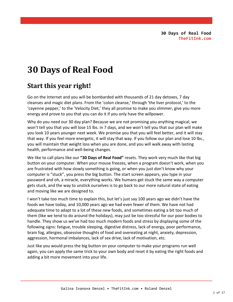# **30 Days of Real Food**

# **Start this year right!**

Go on the Internet and you will be bombarded with thousands of 21 day detoxes, 7 day cleanses and magic diet plans. From the 'colon cleanse,' through 'the liver protocol,' to the 'cayenne pepper,' to the 'Velocity Diet,' they all promise to make you slimmer, give you more energy and prove to you that you can do it if you only have the willpower.

Why do you need our 30 day plan? Because we are not promising you anything magical, we won't tell you that you will lose 15 lbs. in 7 days, and we won't tell you that our plan will make you look 10 years younger next week. We promise you that you will feel better, and it will stay that way. If you feel more energetic, it will stay that way. If you follow our plan and lose 10 lbs., you will maintain that weight loss when you are done, and you will walk away with lasting health, performance and well-being changes.

We like to call plans like our **"30 Days of Real Food"** resets. They work very much like that big button on your computer. When your mouse freezes, when a program doesn't work, when you are frustrated with how slowly something is going, or when you just don't know why your computer is "stuck", you press the big button. The start screen appears, you type in your password and oh, a miracle, everything works. We humans get stuck the same way a computer gets stuck, and the way to unstick ourselves is to go back to our more natural state of eating and moving like we are designed to.

I won't take too much time to explain this, but let's just say 100 years ago we didn't have the foods we have today, and 10,000 years ago we had even fewer of them. We have not had adequate time to adapt to a lot of these new foods, and sometimes eating a bit too much of them (like we tend to do around the holidays), may just be too stressful for our poor bodies to handle. They show us we've had too much modern foods and stress by displaying some of the following signs: fatigue, trouble sleeping, digestive distress, lack of energy, poor performance, brain fog, allergies, obsessive thoughts of food and overeating at night, anxiety, depression, aggression, hormonal imbalances, lack of sex drive, lack of motivation, etc.

Just like you would press the big button on your computer to make your programs run well again, you can apply the same trick to your own body and reset it by eating the right foods and adding a bit more movement into your life.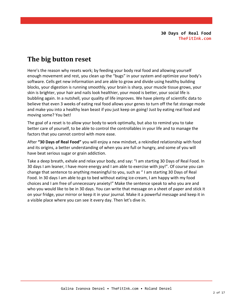## **The big button reset**

Here's the reason why resets work; by feeding your body real food and allowing yourself enough movement and rest, you clean up the "bugs" in your system and optimize your body's software. Cells get new information and are able to grow and divide using healthy building blocks, your digestion is running smoothly, your brain is sharp, your muscle tissue grows, your skin is brighter, your hair and nails look healthier, your mood is better, your social life is bubbling again. In a nutshell, your quality of life improves. We have plenty of scientific data to believe that even 3 weeks of eating real food allows your genes to turn off the fat storage mode and make you into a healthy lean beast if you just keep on going! Just by eating real food and moving some? You bet!

The goal of a reset is to allow your body to work optimally, but also to remind you to take better care of yourself, to be able to control the controllables in your life and to manage the factors that you cannot control with more ease.

After **"30 Days of Real Food"** you will enjoy a new mindset, a rekindled relationship with food and its origins, a better understanding of when you are full or hungry, and some of you will have beat serious sugar or grain addiction.

Take a deep breath, exhale and relax your body, and say: "I am starting 30 Days of Real Food. In 30 days I am leaner, I have more energy and I am able to exercise with joy!". Of course you can change that sentence to anything meaningful to you, such as " I am starting 30 Days of Real Food. In 30 days I am able to go to bed without eating ice-cream, I am happy with my food choices and I am free of unnecessary anxiety!" Make the sentence speak to who you are and who you would like to be in 30 days. You can write that message on a sheet of paper and stick it on your fridge, your mirror or keep it in your journal. Make it a powerful message and keep it in a visible place where you can see it every day. Then let's dive in.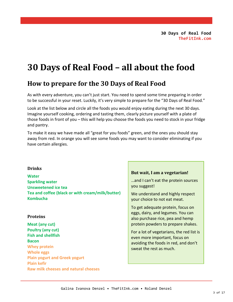# **30 Days of Real Food – all about the food**

## **How to prepare for the 30 Days of Real Food**

As with every adventure, you can't just start. You need to spend some time preparing in order to be successful in your reset. Luckily, it's very simple to prepare for the "30 Days of Real Food."

Look at the list below and circle all the foods you would enjoy eating during the next 30 days. Imagine yourself cooking, ordering and tasting them, clearly picture yourself with a plate of those foods in front of you – this will help you choose the foods you need to stock in your fridge and pantry.

To make it easy we have made all "great for you foods" green, and the ones you should stay away from red. In orange you will see some foods you may want to consider eliminating if you have certain allergies.

#### **Drinks**

**Water Sparkling water Unsweetened ice tea Tea and coffee (black or with cream/milk/butter) Kombucha**

#### **Proteins**

**Meat (any cut) Poultry (any cut) Fish and shellfish Bacon Whey protein Whole eggs Plain yogurt and Greek yogurt Plain kefir Raw milk cheeses and natural cheeses**

#### **But wait, I am a vegetarian!**

…and I can't eat the protein sources you suggest!

We understand and highly respect your choice to not eat meat.

To get adequate protein, focus on eggs, dairy, and legumes. You can also purchase rice, pea and hemp protein powders to prepare shakes.

For a lot of vegetarians, the red list is even more important, focus on avoiding the foods in red, and don't sweat the rest as much.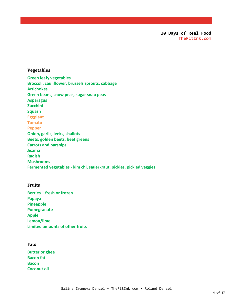#### **Green leafy vegetables Broccoli, cauliflower, brussels sprouts, cabbage Artichokes Green beans, snow peas, sugar snap peas Asparagus Zucchini Squash Eggplant Tomato Pepper Onion, garlic, leeks, shallots Beets, golden beets, beet greens Carrots and parsnips Jicama Radish Mushrooms Fermented vegetables - kim chi, sauerkraut, pickles, pickled veggies**

#### **Fruits**

**Vegetables**

**Berries – fresh or frozen Papaya Pineapple Pomegranate Apple Lemon/lime Limited amounts of other fruits**

#### **Fats**

**Butter or ghee Bacon fat Bacon Coconut oil**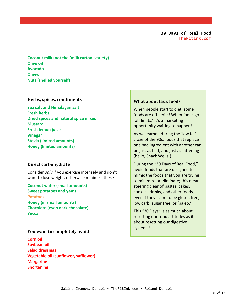**Coconut milk (not the 'milk carton' variety) Olive oil Avocado Olives Nuts (shelled yourself)**

#### **Herbs, spices, condiments**

**Sea salt and Himalayan salt Fresh herbs Dried spices and natural spice mixes Mustard Fresh lemon juice Vinegar Stevia (limited amounts) Honey (limited amounts)**

#### **Direct carbohydrate**

Consider *only* if you exercise intensely and don't want to lose weight, otherwise minimize these

**Coconut water (small amounts) Sweet potatoes and yams Potatoes Honey (in small amounts) Chocolate (even dark chocolate) Yucca**

#### **You want to completely avoid**

**Corn oil Soybean oil Salad dressings Vegetable oil (sunflower, safflower) Margarine Shortening**

#### **What about faux foods**

When people start to diet, some foods are off limits! When foods go 'off limits,' it's a marketing opportunity waiting to happen!

As we learned during the 'low fat' craze of the 90s, foods that replace one bad ingredient with another can be just as bad, and just as fattening (hello, Snack Wells!).

During the "30 Days of Real Food," avoid foods that are designed to mimic the foods that you are trying to minimize or eliminate; this means steering clear of pastas, cakes, cookies, drinks, and other foods, even if they claim to be gluten free, low carb, sugar free, or 'paleo.'

This "30 Days" is as much about resetting our food attitudes as it is about resetting our digestive systems!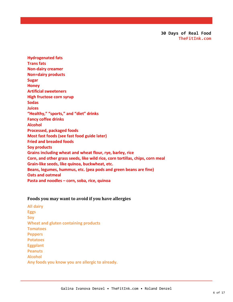**Hydrogenated fats Trans fats Non-dairy creamer Non=dairy products Sugar Honey Artificial sweeteners High fructose corn syrup Sodas Juices "Healthy," "sports," and "diet" drinks Fancy coffee drinks Alcohol Processed, packaged foods Most fast foods (see fast food guide later) Fried and breaded foods Soy products Grains including wheat and wheat flour, rye, barley, rice Corn, and other grass seeds, like wild rice, corn tortillas, chips, corn meal Grain-like seeds, like quinoa, buckwheat, etc. Beans, legumes, hummus, etc. (pea pods and green beans are fine) Oats and oatmeal Pasta and noodles – corn, soba, rice, quinoa**

#### **Foods you may want to avoid if you have allergies**

**All dairy Eggs Soy Wheat and gluten containing products Tomatoes Peppers Potatoes Eggplant Peanuts Alcohol Any foods you know you are allergic to already.**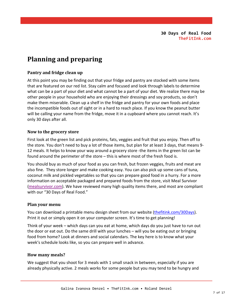# **Planning and preparing**

#### **Pantry and fridge clean up**

At this point you may be finding out that your fridge and pantry are stocked with some items that are featured on our red list. Stay calm and focused and look through labels to determine what can be a part of your diet and what cannot be a part of your diet. We realize there may be other people in your household who are enjoying their dressings and soy products, so don't make them miserable. Clean up a shelf in the fridge and pantry for your own foods and place the incompatible foods out of sight or in a hard to reach place. If you know the peanut butter will be calling your name from the fridge, move it in a cupboard where you cannot reach. It's only 30 days after all.

#### **Now to the grocery store**

First look at the green list and pick proteins, fats, veggies and fruit that you enjoy. Then off to the store. You don't need to buy a lot of those items, but plan for at least 3 days, that means 9- 12 meals. It helps to know your way around a grocery store -the items in the green list can be found around the perimeter of the store – this is where most of the fresh food is.

You should buy as much of your food as you can fresh, but frozen veggies, fruits and meat are also fine. They store longer and make cooking easy. You can also pick up some cans of tuna, coconut milk and pickled vegetables so that you can prepare good food in a hurry. For a more information on acceptable packaged and prepared foods from the store, visit Meal Survivor [\(mealsurvivor.com\)](http://www.mealsurvivor.blogspot.com/). We have reviewed many high quality items there, and most are compliant with our "30 Days of Real Food."

#### **Plan your menu**

You can download a printable menu design sheet from our website [\(thefitink.com/30Days\)](http://thefitink.com/30days). Print it out or simply open it on your computer screen. It's time to get planning!

Think of your week – which days can you eat at home, which days do you just have to run out the door or eat out. Do the same drill with your lunches – will you be eating out or bringing food from home? Look at dinners and social calendars. The key here is to know what your week's schedule looks like, so you can prepare well in advance.

#### **How many meals?**

We suggest that you shoot for 3 meals with 1 small snack in between, especially if you are already physically active. 2 meals works for some people but you may tend to be hungry and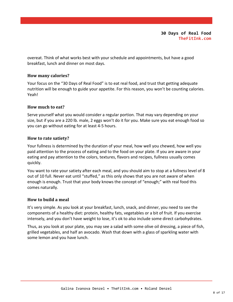overeat. Think of what works best with your schedule and appointments, but have a good breakfast, lunch and dinner on most days.

#### **How many calories?**

Your focus on the "30 Days of Real Food" is to eat real food, and trust that getting adequate nutrition will be enough to guide your appetite. For this reason, you won't be counting calories. Yeah!

#### **How much to eat?**

Serve yourself what you would consider a regular portion. That may vary depending on your size, but if you are a 220 lb. male, 2 eggs won't do it for you. Make sure you eat enough food so you can go without eating for at least 4-5 hours.

#### **How to rate satiety?**

Your fullness is determined by the duration of your meal, how well you chewed, how well you paid attention to the process of eating and to the food on your plate. If you are aware in your eating and pay attention to the colors, textures, flavors and recipes, fullness usually comes quickly.

You want to rate your satiety after each meal, and you should aim to stop at a fullness level of 8 out of 10 full. Never eat until "stuffed," as this only shows that you are not aware of when enough is enough. Trust that your body knows the concept of "enough;" with real food this comes naturally.

#### **How to build a meal**

It's very simple. As you look at your breakfast, lunch, snack, and dinner, you need to see the components of a healthy diet: protein, healthy fats, vegetables or a bit of fruit. If you exercise intensely, and you don't have weight to lose, it's ok to also include some direct carbohydrates.

Thus, as you look at your plate, you may see a salad with some olive oil dressing, a piece of fish, grilled vegetables, and half an avocado. Wash that down with a glass of sparkling water with some lemon and you have lunch.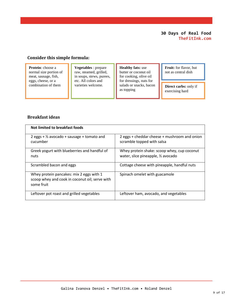#### **Consider this simple formula:**

**Protein**: choose a normal size portion of meat, sausage, fish, eggs, cheese, or a combination of them

**Vegetables** : prepare raw, steamed, grilled, in soups, stews, purees, etc. All colors and varieties welcome.

**Healthy fats:** use butter or coconut oil for cooking, olive oil for dressings, nuts for salads or snacks, bacon as topping

**Fruit:** for flavor, but not as central dish

**Direct carbs:** only if exercising hard

#### **Breakfast ideas**

| Not limited to breakfast foods                                                                           |                                                                                    |
|----------------------------------------------------------------------------------------------------------|------------------------------------------------------------------------------------|
| 2 eggs + $\frac{1}{2}$ avocado + sausage + tomato and<br>cucumber                                        | 2 eggs + cheddar cheese + mushroom and onion<br>scramble topped with salsa         |
| Greek yogurt with blueberries and handful of<br>nuts                                                     | Whey protein shake: scoop whey, cup coconut<br>water, slice pineapple, 1/2 avocado |
| Scrambled bacon and eggs                                                                                 | Cottage cheese with pineapple, handful nuts                                        |
| Whey protein pancakes: mix 2 eggs with 1<br>scoop whey and cook in coconut oil; serve with<br>some fruit | Spinach omelet with guacamole                                                      |
| Leftover pot roast and grilled vegetables                                                                | Leftover ham, avocado, and vegetables                                              |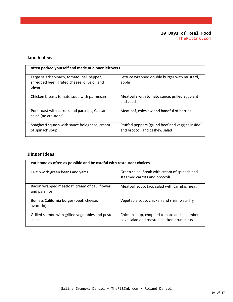#### **Lunch ideas**

| often packed yourself and made of dinner leftovers                                                  |                                                                                  |  |  |  |  |  |  |  |  |  |  |
|-----------------------------------------------------------------------------------------------------|----------------------------------------------------------------------------------|--|--|--|--|--|--|--|--|--|--|
| Large salad: spinach, tomato, bell pepper,<br>shredded beef, grated cheese, olive oil and<br>olives | Lettuce wrapped double burger with mustard,<br>apple                             |  |  |  |  |  |  |  |  |  |  |
| Chicken breast, tomato soup with parmesan                                                           | Meatballs with tomato sauce, grilled eggplant<br>and zucchini                    |  |  |  |  |  |  |  |  |  |  |
| Pork roast with carrots and parsnips, Caesar<br>salad (no croutons)                                 | Meatloaf, coleslaw and handful of berries                                        |  |  |  |  |  |  |  |  |  |  |
| Spaghetti squash with sauce bolognese, cream<br>of spinach soup                                     | Stuffed peppers (grund beef and veggies inside)<br>and broccoli and cashew salad |  |  |  |  |  |  |  |  |  |  |

#### **Dinner ideas**

| eat home as often as possible and be careful with restaurant choices |                                                                                         |  |  |  |  |  |  |  |  |  |  |  |
|----------------------------------------------------------------------|-----------------------------------------------------------------------------------------|--|--|--|--|--|--|--|--|--|--|--|
| Tri tip with green beans and yams                                    | Green salad, Steak with cream of spinach and<br>steamed carrots and broccoli            |  |  |  |  |  |  |  |  |  |  |  |
| Bacon wrapped meatloaf, cream of cauliflower<br>and parsnips         | Meatball soup, taco salad with carnitas meat                                            |  |  |  |  |  |  |  |  |  |  |  |
| Bunless California burger (beef, cheese,<br>avocado)                 | Vegetable soup, chicken and shrimp stir fry                                             |  |  |  |  |  |  |  |  |  |  |  |
| Grilled salmon with grilled vegetables and pesto<br>sauce            | Chicken soup, chopped tomato and cucumber<br>olive salad and roasted chicken drumsticks |  |  |  |  |  |  |  |  |  |  |  |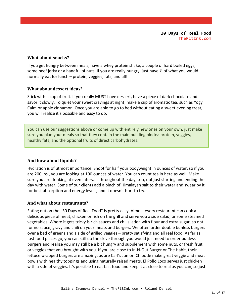#### **What about snacks?**

If you get hungry between meals, have a whey protein shake, a couple of hard boiled eggs, some beef jerky or a handful of nuts. If you are really hungry, just have  $\frac{1}{2}$  of what you would normally eat for lunch – protein, veggies, fats, and all!

#### **What about dessert ideas?**

Stick with a cup of fruit. If you really MUST have dessert, have a piece of dark chocolate and savor it slowly. To quiet your sweet cravings at night, make a cup of aromatic tea, such as Yogy Calm or apple cinnamon. Once you are able to go to bed without eating a sweet evening treat, you will realize it's possible and easy to do.

You can use our suggestions above or come up with entirely new ones on your own, just make sure you plan your meals so that they contain the main building blocks: protein, veggies, healthy fats, and the optional fruits of direct carbohydrates.

#### **And how about liquids?**

Hydration is of utmost importance. Shoot for half your bodyweight in ounces of water, so if you are 200 lbs., you are looking at 100 ounces of water. You can count tea in here as well. Make sure you are drinking at even intervals throughout the day, too, not just starting and ending the day with water. Some of our clients add a pinch of Himalayan salt to their water and swear by it for best absorption and energy levels, and it doesn't hurt to try.

#### **And what about restaurants?**

Eating out on the "30 Days of Real Food" is pretty easy. Almost every restaurant can cook a delicious piece of meat, chicken or fish on the grill and serve you a side salad, or some steamed vegetables. Where it gets tricky is rich sauces and chilis laden with flour and extra sugar, so opt for no sauce, gravy and chili on your meats and burgers. We often order double bunless burgers over a bed of greens and a side of grilled veggies – pretty satisfying and all real food. As far as fast food places go, you can still do the drive through you would just need to order bunless burgers and realize you may still be a bit hungry and supplement with some nuts, or fresh fruit or veggies that you brought with you. If you are close to In-N-Out Burger or The Habit, their lettuce wrapped burgers are amazing, as are Carl's Junior. Chipotle make great veggie and meat bowls with healthy toppings and using naturally raised meats. El Pollo Loco serves just chicken with a side of veggies. It's possible to eat fast food and keep it as close to real as you can, so just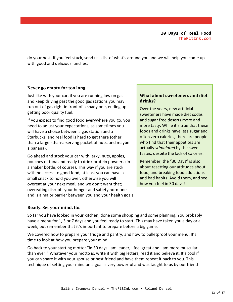do your best. If you feel stuck, send us a list of what's around you and we will help you come up with good and delicious lunches.

#### **Never go empty for too long**

Just like with your car, if you are running low on gas and keep driving past the good gas stations you may run out of gas right in front of a shady one, ending up getting poor quality fuel.

If you expect to find good food everywhere you go, you need to adjust your expectations, as sometimes you will have a choice between a gas station and a Starbucks, and real food is hard to get there (other than a larger-than-a-serving packet of nuts, and maybe a banana).

Go ahead and stock your car with jerky, nuts, apples, pouches of tuna and ready to drink protein powders (in a shaker bottle, of course). This way if you are stuck with no access to good food, at least you can have a small snack to hold you over, otherwise you will overeat at your next meal, and we don't want that; overeating disrupts your hunger and satiety hormones and is a major barrier between you and your health goals.

#### **What about sweeteners and diet drinks?**

Over the years, new artificial sweeteners have made diet sodas and sugar free deserts more and more tasty. While it's true that these foods and drinks have less sugar and often zero calories, there are people who find that their appetites are actually *stimulated* by the sweet tastes, despite the lack of calories.

Remember, the "30 Days" is also about resetting our attitudes about food, and breaking food addictions and bad habits. Avoid them, and see how you feel in 30 days!

#### **Ready. Set your mind. Go.**

So far you have looked in your kitchen, done some shopping and some planning. You probably have a menu for 1, 3 or 7 days and you feel ready to start. This may have taken you a day or a week, but remember that it's important to prepare before a big game.

We covered how to prepare your fridge and pantry, and how to bulletproof your menu. It's time to look at how you prepare your mind.

Go back to your starting motto: "In 30 days I am leaner, I feel great and I am more muscular than ever!" Whatever your motto is, write it with big letters, read it and believe it. It's cool if you can share it with your spouse or best friend and have them repeat it back to you. This technique of setting your mind on a goal is very powerful and was taught to us by our friend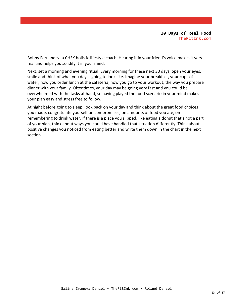Bobby Fernandez, a CHEK holistic lifestyle coach. Hearing it in your friend's voice makes it very real and helps you solidify it in your mind.

Next, set a morning and evening ritual. Every morning for these next 30 days, open your eyes, smile and think of what you day is going to look like. Imagine your breakfast, your cups of water, how you order lunch at the cafeteria, how you go to your workout, the way you prepare dinner with your family. Oftentimes, your day may be going very fast and you could be overwhelmed with the tasks at hand, so having played the food scenario in your mind makes your plan easy and stress free to follow.

At night before going to sleep, look back on your day and think about the great food choices you made, congratulate yourself on compromises, on amounts of food you ate, on remembering to drink water. If there is a place you slipped, like eating a donut that's not a part of your plan, think about ways you could have handled that situation differently. Think about positive changes you noticed from eating better and write them down in the chart in the next section.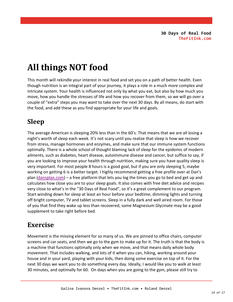# **All things NOT food**

This month will rekindle your interest in real food and set you on a path of better health. Even though nutrition is an integral part of your journey, it plays a role in a much more complex and intricate system. Your health is influenced not only by what you eat, but also by how much you move, how you handle the stresses of life and how you recover from them, so we will go over a couple of "extra" steps you may want to take over the next 30 days. By all means, do start with the food, and add these as you find appropriate for your life and goals.

# **Sleep**

The average American is sleeping 20% less than in the 60's. That means that we are all losing a night's worth of sleep each week. It's not scary until you realize that sleep is how we recover from stress, manage hormones and enzymes, and make sure that our immune system functions optimally. There is a whole school of thought blaming lack of sleep for the epidemic of modern ailments, such as diabetes, heart disease, autoimmune disease and cancer, but suffice to say, if you are looking to improve your health through nutrition, making sure you have quality sleep is very important. For most people 8 hours is a good goal, but if you are only sleeping 5, maybe working on getting 6 is a better target. I highly recommend getting a free profile over at Dan's plan [\(dansplan.com\)](http://dansplan.com/) – a free platform that lets you log the times you go to bed and get up and calculates how close you are to your sleep goals. It also comes with free diet advice and recipes very close to what's in the "30 Days of Real Food", so it's a great complement to our program. Start winding down for sleep at least an hour before your bedtime, dimming lights and turning off bright computer, TV and tablet screens. Sleep in a fully dark and well aired room. For those of you that find they wake up less than recovered, some Magnesium Glycinate may be a good supplement to take right before bed.

# **Exercise**

Movement is the missing element for so many of us. We are pinned to office chairs, computer screens and car seats, and then we go to the gym to make up for it. The truth is that the body is a machine that functions optimally only when we move, and that means daily whole body movement. That includes walking, and lots of it when you can, hiking, working around your house and in your yard, playing with your kids, then doing some exercise on top of it. For the next 30 days we want you to do something every day. Ideally, I would like you to walk at least 30 minutes, and optimally for 60. On days when you are going to the gym, please still try to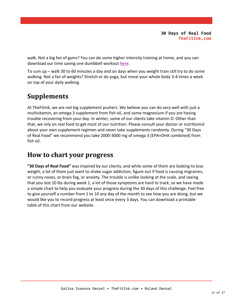walk. Not a big fan of gyms? You can do some higher intensity training at home, and you can download our time saving one dumbbell workout [here.](http://thefitink.com/2012/free-fat-loss-workout-ebook/)

To sum up – walk 30 to 60 minutes a day and on days when you weight train still try to do some walking. Not a fan of weights? Stretch or do yoga, but move your whole body 3-4 times a week on top of your daily walking.

# **Supplements**

At TheFitInk, we are not big supplement pushers. We believe you can do very well with just a multivitamin, an omega 3 supplement from fish oil, and some magnesium if you are having trouble recovering from your day. In winter, some of our clients take vitamin D. Other than that, we rely on real food to get most of our nutrition. Please consult your doctor or nutritionist about your own supplement regimen and never take supplements randomly. During "30 Days of Real Food" we recommend you take 2000-3000 mg of omega 3 (EPA+DHA combined) from fish oil.

# **How to chart your progress**

**"30 Days of Real Food"** was inspired by our clients, and while some of them are looking to lose weight, a lot of them just want to shake sugar addiction, figure out if food is causing migraines, or runny noses, or brain fog, or anxiety. The trouble is unlike looking at the scale, and seeing that you lost 10 lbs during week 1, a lot of those symptoms are hard to track, so we have made a simple chart to help you evaluate your progress during the 30 days of this challenge. Feel free to give yourself a number from 1 to 10 any day of the month to see how you are doing, but we would like you to record progress at least once every 3 days. You can download a printable table of this chart from our website.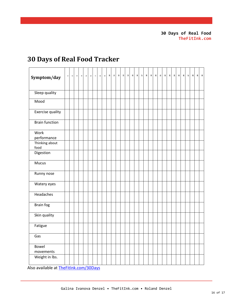# **30 Days of Real Food Tracker**

| Symptom/day                            | ۳ | $\sim$ | $\sim$ | $\star$ |  | $\begin{array}{lllllllllll} \text{in} & \text{in} & \text{in} & \text{in} \\ \text{in} & \text{in} & \text{in} & \text{in} \end{array}$ | $\bullet$ | $\mathfrak{p}$ | $\tau$ | $\boldsymbol{\mathfrak{2}}$ | $\boldsymbol{\mathfrak{p}}$ | $\sharp$ | $\overline{a}$ | $\mathfrak{S}$ | $z = e$ | $\frac{6}{5}$ | ຸຊ | $\overline{a}$ | $\mathbf{z}$ | $\boldsymbol{\mathsf{a}}$ | $\boldsymbol{z}$ | 25 | 26 | $\overline{\mathbf{z}}$ | $\frac{8}{3}$ | $\boldsymbol{\mathsf{a}}$ | ្ល |
|----------------------------------------|---|--------|--------|---------|--|-----------------------------------------------------------------------------------------------------------------------------------------|-----------|----------------|--------|-----------------------------|-----------------------------|----------|----------------|----------------|---------|---------------|----|----------------|--------------|---------------------------|------------------|----|----|-------------------------|---------------|---------------------------|----|
| Sleep quality                          |   |        |        |         |  |                                                                                                                                         |           |                |        |                             |                             |          |                |                |         |               |    |                |              |                           |                  |    |    |                         |               |                           |    |
| Mood                                   |   |        |        |         |  |                                                                                                                                         |           |                |        |                             |                             |          |                |                |         |               |    |                |              |                           |                  |    |    |                         |               |                           |    |
| Exercise quality                       |   |        |        |         |  |                                                                                                                                         |           |                |        |                             |                             |          |                |                |         |               |    |                |              |                           |                  |    |    |                         |               |                           |    |
| <b>Brain function</b>                  |   |        |        |         |  |                                                                                                                                         |           |                |        |                             |                             |          |                |                |         |               |    |                |              |                           |                  |    |    |                         |               |                           |    |
| Work                                   |   |        |        |         |  |                                                                                                                                         |           |                |        |                             |                             |          |                |                |         |               |    |                |              |                           |                  |    |    |                         |               |                           |    |
| performance<br>Thinking about          |   |        |        |         |  |                                                                                                                                         |           |                |        |                             |                             |          |                |                |         |               |    |                |              |                           |                  |    |    |                         |               |                           |    |
| food                                   |   |        |        |         |  |                                                                                                                                         |           |                |        |                             |                             |          |                |                |         |               |    |                |              |                           |                  |    |    |                         |               |                           |    |
| Digestion                              |   |        |        |         |  |                                                                                                                                         |           |                |        |                             |                             |          |                |                |         |               |    |                |              |                           |                  |    |    |                         |               |                           |    |
| <b>Mucus</b>                           |   |        |        |         |  |                                                                                                                                         |           |                |        |                             |                             |          |                |                |         |               |    |                |              |                           |                  |    |    |                         |               |                           |    |
| Runny nose                             |   |        |        |         |  |                                                                                                                                         |           |                |        |                             |                             |          |                |                |         |               |    |                |              |                           |                  |    |    |                         |               |                           |    |
| Watery eyes                            |   |        |        |         |  |                                                                                                                                         |           |                |        |                             |                             |          |                |                |         |               |    |                |              |                           |                  |    |    |                         |               |                           |    |
| Headaches                              |   |        |        |         |  |                                                                                                                                         |           |                |        |                             |                             |          |                |                |         |               |    |                |              |                           |                  |    |    |                         |               |                           |    |
| Brain fog                              |   |        |        |         |  |                                                                                                                                         |           |                |        |                             |                             |          |                |                |         |               |    |                |              |                           |                  |    |    |                         |               |                           |    |
| Skin quality                           |   |        |        |         |  |                                                                                                                                         |           |                |        |                             |                             |          |                |                |         |               |    |                |              |                           |                  |    |    |                         |               |                           |    |
| Fatigue                                |   |        |        |         |  |                                                                                                                                         |           |                |        |                             |                             |          |                |                |         |               |    |                |              |                           |                  |    |    |                         |               |                           |    |
| Gas                                    |   |        |        |         |  |                                                                                                                                         |           |                |        |                             |                             |          |                |                |         |               |    |                |              |                           |                  |    |    |                         |               |                           |    |
| Bowel                                  |   |        |        |         |  |                                                                                                                                         |           |                |        |                             |                             |          |                |                |         |               |    |                |              |                           |                  |    |    |                         |               |                           |    |
| movements                              |   |        |        |         |  |                                                                                                                                         |           |                |        |                             |                             |          |                |                |         |               |    |                |              |                           |                  |    |    |                         |               |                           |    |
| Weight in lbs.<br>$\ddot{\phantom{0}}$ |   |        |        |         |  |                                                                                                                                         |           |                |        |                             |                             |          |                |                |         |               |    |                |              |                           |                  |    |    |                         |               |                           |    |

Also available at [TheFitInk.com/30Days](http://thefitink.com/30days)